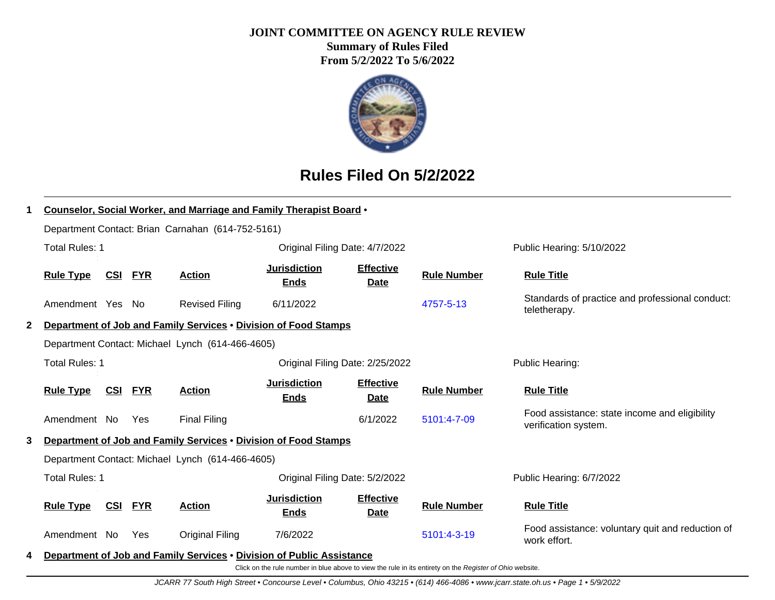#### **JOINT COMMITTEE ON AGENCY RULE REVIEW**

**Summary of Rules Filed From 5/2/2022 To 5/6/2022**



## **Rules Filed On 5/2/2022**

|              |                       |            |            | <b>Counselor, Social Worker, and Marriage and Family Therapist Board .</b> |                                    |                                 |                    |                                                                       |
|--------------|-----------------------|------------|------------|----------------------------------------------------------------------------|------------------------------------|---------------------------------|--------------------|-----------------------------------------------------------------------|
|              |                       |            |            | Department Contact: Brian Carnahan (614-752-5161)                          |                                    |                                 |                    |                                                                       |
|              | <b>Total Rules: 1</b> |            |            |                                                                            | Original Filing Date: 4/7/2022     |                                 |                    | Public Hearing: 5/10/2022                                             |
|              | <b>Rule Type</b>      | <u>CSI</u> | <u>FYR</u> | <b>Action</b>                                                              | <b>Jurisdiction</b><br><b>Ends</b> | <b>Effective</b><br><b>Date</b> | <b>Rule Number</b> | <b>Rule Title</b>                                                     |
|              | Amendment Yes No      |            |            | <b>Revised Filing</b>                                                      | 6/11/2022                          |                                 | 4757-5-13          | Standards of practice and professional conduct:<br>teletherapy.       |
| $\mathbf{2}$ |                       |            |            | Department of Job and Family Services . Division of Food Stamps            |                                    |                                 |                    |                                                                       |
|              |                       |            |            | Department Contact: Michael Lynch (614-466-4605)                           |                                    |                                 |                    |                                                                       |
|              | <b>Total Rules: 1</b> |            |            |                                                                            | Original Filing Date: 2/25/2022    |                                 |                    | Public Hearing:                                                       |
|              | <b>Rule Type</b>      | <u>CSI</u> | <b>FYR</b> | <b>Action</b>                                                              | <b>Jurisdiction</b><br><b>Ends</b> | <b>Effective</b><br><b>Date</b> | <b>Rule Number</b> | <b>Rule Title</b>                                                     |
|              | Amendment No          |            | <b>Yes</b> | <b>Final Filing</b>                                                        |                                    | 6/1/2022                        | 5101:4-7-09        | Food assistance: state income and eligibility<br>verification system. |
| 3            |                       |            |            | Department of Job and Family Services . Division of Food Stamps            |                                    |                                 |                    |                                                                       |
|              |                       |            |            | Department Contact: Michael Lynch (614-466-4605)                           |                                    |                                 |                    |                                                                       |
|              | <b>Total Rules: 1</b> |            |            |                                                                            | Original Filing Date: 5/2/2022     |                                 |                    | Public Hearing: 6/7/2022                                              |
|              | <b>Rule Type</b>      | CSI        | <b>FYR</b> | <b>Action</b>                                                              | <b>Jurisdiction</b><br><b>Ends</b> | <b>Effective</b><br><b>Date</b> | <b>Rule Number</b> | <b>Rule Title</b>                                                     |
|              | Amendment No          |            | Yes        | Original Filing                                                            | 7/6/2022                           |                                 | 5101:4-3-19        | Food assistance: voluntary quit and reduction of<br>work effort.      |
| 4            |                       |            |            | Department of Job and Family Services • Division of Public Assistance      |                                    |                                 |                    |                                                                       |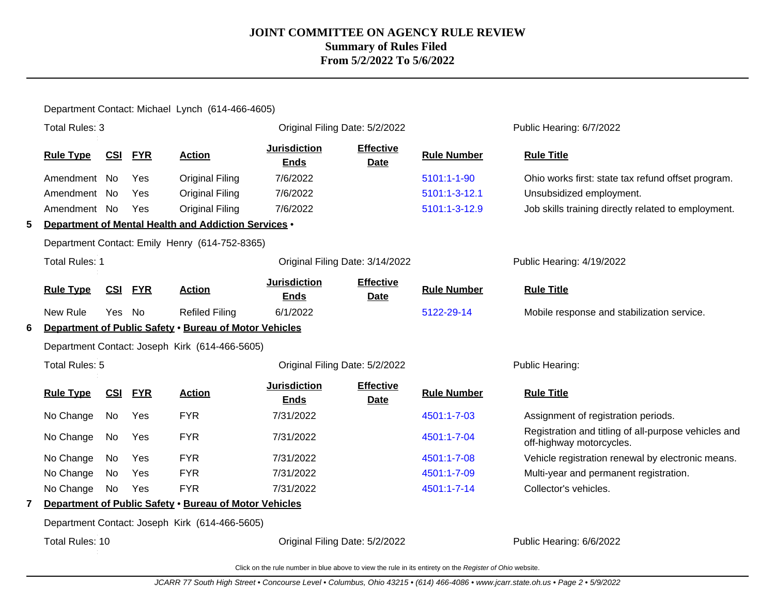Department Contact: Michael Lynch (614-466-4605)

|              | Total Rules: 3        |            |            |                                                        | Original Filing Date: 5/2/2022     |                                 |                    | Public Hearing: 6/7/2022                                                         |
|--------------|-----------------------|------------|------------|--------------------------------------------------------|------------------------------------|---------------------------------|--------------------|----------------------------------------------------------------------------------|
|              | <b>Rule Type</b>      | CSI        | <b>FYR</b> | <b>Action</b>                                          | <b>Jurisdiction</b><br><b>Ends</b> | <b>Effective</b><br><b>Date</b> | <b>Rule Number</b> | <b>Rule Title</b>                                                                |
|              | Amendment No          |            | Yes        | <b>Original Filing</b>                                 | 7/6/2022                           |                                 | 5101:1-1-90        | Ohio works first: state tax refund offset program.                               |
|              | Amendment No          |            | Yes        | <b>Original Filing</b>                                 | 7/6/2022                           |                                 | 5101:1-3-12.1      | Unsubsidized employment.                                                         |
|              | Amendment No          |            | Yes        | <b>Original Filing</b>                                 | 7/6/2022                           |                                 | 5101:1-3-12.9      | Job skills training directly related to employment.                              |
| 5            |                       |            |            | Department of Mental Health and Addiction Services .   |                                    |                                 |                    |                                                                                  |
|              |                       |            |            | Department Contact: Emily Henry (614-752-8365)         |                                    |                                 |                    |                                                                                  |
|              | <b>Total Rules: 1</b> |            |            |                                                        | Original Filing Date: 3/14/2022    |                                 |                    | Public Hearing: 4/19/2022                                                        |
|              | <b>Rule Type</b>      | <b>CSI</b> | <b>FYR</b> | <b>Action</b>                                          | <b>Jurisdiction</b><br><b>Ends</b> | <b>Effective</b><br><b>Date</b> | <b>Rule Number</b> | <b>Rule Title</b>                                                                |
|              | New Rule              | <b>Yes</b> | No         | <b>Refiled Filing</b>                                  | 6/1/2022                           |                                 | 5122-29-14         | Mobile response and stabilization service.                                       |
| 6            |                       |            |            | Department of Public Safety . Bureau of Motor Vehicles |                                    |                                 |                    |                                                                                  |
|              |                       |            |            | Department Contact: Joseph Kirk (614-466-5605)         |                                    |                                 |                    |                                                                                  |
|              | Total Rules: 5        |            |            |                                                        | Original Filing Date: 5/2/2022     |                                 |                    | Public Hearing:                                                                  |
|              | <b>Rule Type</b>      | CSI        | <b>FYR</b> | <b>Action</b>                                          | <b>Jurisdiction</b><br><b>Ends</b> | <b>Effective</b><br>Date        | <b>Rule Number</b> | <b>Rule Title</b>                                                                |
|              | No Change             | No         | Yes        | <b>FYR</b>                                             | 7/31/2022                          |                                 | 4501:1-7-03        | Assignment of registration periods.                                              |
|              | No Change             | No         | Yes        | <b>FYR</b>                                             | 7/31/2022                          |                                 | 4501:1-7-04        | Registration and titling of all-purpose vehicles and<br>off-highway motorcycles. |
|              | No Change             | No         | Yes        | <b>FYR</b>                                             | 7/31/2022                          |                                 | 4501:1-7-08        | Vehicle registration renewal by electronic means.                                |
|              | No Change             | No         | Yes        | <b>FYR</b>                                             | 7/31/2022                          |                                 | 4501:1-7-09        | Multi-year and permanent registration.                                           |
|              | No Change             | No         | Yes        | <b>FYR</b>                                             | 7/31/2022                          |                                 | 4501:1-7-14        | Collector's vehicles.                                                            |
| $\mathbf{7}$ |                       |            |            | Department of Public Safety . Bureau of Motor Vehicles |                                    |                                 |                    |                                                                                  |
|              |                       |            |            | Department Contact: Joseph Kirk (614-466-5605)         |                                    |                                 |                    |                                                                                  |
|              | Total Rules: 10       |            |            |                                                        | Original Filing Date: 5/2/2022     |                                 |                    | Public Hearing: 6/6/2022                                                         |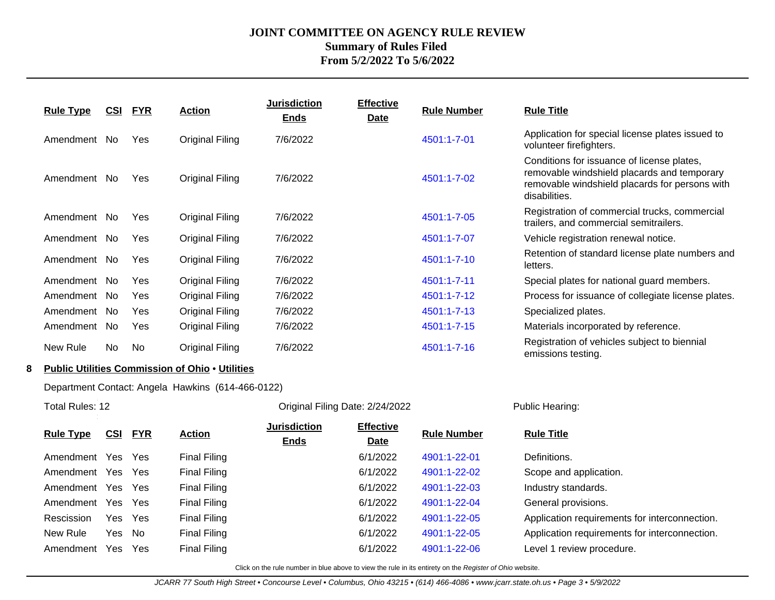| <b>Rule Type</b> | <u>CSI</u> | <u>FYR</u> | <b>Action</b>   | <b>Jurisdiction</b><br><b>Ends</b> | <b>Effective</b><br><u>Date</u> | <b>Rule Number</b> | <b>Rule Title</b>                                                                                                                                            |
|------------------|------------|------------|-----------------|------------------------------------|---------------------------------|--------------------|--------------------------------------------------------------------------------------------------------------------------------------------------------------|
| Amendment        | No.        | Yes        | Original Filing | 7/6/2022                           |                                 | 4501:1-7-01        | Application for special license plates issued to<br>volunteer firefighters.                                                                                  |
| Amendment        | No.        | Yes        | Original Filing | 7/6/2022                           |                                 | 4501:1-7-02        | Conditions for issuance of license plates,<br>removable windshield placards and temporary<br>removable windshield placards for persons with<br>disabilities. |
| Amendment        | No.        | Yes        | Original Filing | 7/6/2022                           |                                 | 4501:1-7-05        | Registration of commercial trucks, commercial<br>trailers, and commercial semitrailers.                                                                      |
| Amendment        | No.        | Yes        | Original Filing | 7/6/2022                           |                                 | 4501:1-7-07        | Vehicle registration renewal notice.                                                                                                                         |
| Amendment        | No.        | Yes        | Original Filing | 7/6/2022                           |                                 | 4501:1-7-10        | Retention of standard license plate numbers and<br>letters.                                                                                                  |
| Amendment        | No.        | Yes        | Original Filing | 7/6/2022                           |                                 | 4501:1-7-11        | Special plates for national guard members.                                                                                                                   |
| Amendment        | No.        | Yes        | Original Filing | 7/6/2022                           |                                 | 4501:1-7-12        | Process for issuance of collegiate license plates.                                                                                                           |
| Amendment        | No.        | <b>Yes</b> | Original Filing | 7/6/2022                           |                                 | 4501:1-7-13        | Specialized plates.                                                                                                                                          |
| Amendment        | No.        | Yes        | Original Filing | 7/6/2022                           |                                 | 4501:1-7-15        | Materials incorporated by reference.                                                                                                                         |
| New Rule         | No.        | <b>No</b>  | Original Filing | 7/6/2022                           |                                 | 4501:1-7-16        | Registration of vehicles subject to biennial<br>emissions testing.                                                                                           |

#### **8 Public Utilities Commission of Ohio** • **Utilities**

Department Contact: Angela Hawkins (614-466-0122)

|                  | Total Rules: 12<br><u>CSI</u><br><u>FYR</u><br>Amendment Yes<br>Yes<br>Amendment Yes<br><b>Yes</b><br>Amendment Yes Yes<br>Amendment Yes Yes |     |                     | Original Filing Date: 2/24/2022                                                                          |                          |                    | Public Hearing:                               |  |
|------------------|----------------------------------------------------------------------------------------------------------------------------------------------|-----|---------------------|----------------------------------------------------------------------------------------------------------|--------------------------|--------------------|-----------------------------------------------|--|
| <b>Rule Type</b> |                                                                                                                                              |     | <b>Action</b>       | <b>Jurisdiction</b><br><b>Ends</b>                                                                       | <b>Effective</b><br>Date | <b>Rule Number</b> | <b>Rule Title</b>                             |  |
|                  |                                                                                                                                              |     | Final Filing        |                                                                                                          | 6/1/2022                 | 4901:1-22-01       | Definitions.                                  |  |
|                  |                                                                                                                                              |     | Final Filing        |                                                                                                          | 6/1/2022                 | 4901:1-22-02       | Scope and application.                        |  |
|                  |                                                                                                                                              |     | <b>Final Filing</b> |                                                                                                          | 6/1/2022                 | 4901:1-22-03       | Industry standards.                           |  |
|                  |                                                                                                                                              |     | Final Filing        |                                                                                                          | 6/1/2022                 | 4901:1-22-04       | General provisions.                           |  |
| Rescission       | Yes                                                                                                                                          | Yes | Final Filing        |                                                                                                          | 6/1/2022                 | 4901:1-22-05       | Application requirements for interconnection. |  |
| New Rule         | Yes                                                                                                                                          | No. | <b>Final Filing</b> |                                                                                                          | 6/1/2022                 | 4901:1-22-05       | Application requirements for interconnection. |  |
| Amendment Yes    |                                                                                                                                              | Yes | Final Filing        |                                                                                                          | 6/1/2022                 | 4901:1-22-06       | Level 1 review procedure.                     |  |
|                  |                                                                                                                                              |     |                     | Click on the rule number in blue above to view the rule in its entirety on the Register of Ohio website. |                          |                    |                                               |  |

JCARR 77 South High Street • Concourse Level • Columbus, Ohio 43215 • (614) 466-4086 • www.jcarr.state.oh.us • Page 3 • 5/9/2022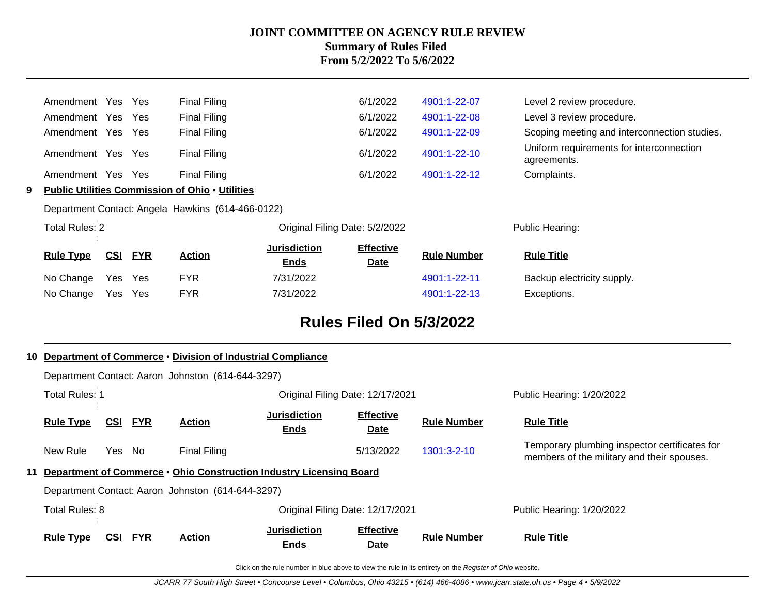|   | Amendment Yes     |     | Yes        | <b>Final Filing</b>                                    |                                    | 6/1/2022                        | 4901:1-22-07       | Level 2 review procedure.                               |
|---|-------------------|-----|------------|--------------------------------------------------------|------------------------------------|---------------------------------|--------------------|---------------------------------------------------------|
|   | Amendment Yes     |     | <b>Yes</b> | <b>Final Filing</b>                                    |                                    | 6/1/2022                        | 4901:1-22-08       | Level 3 review procedure.                               |
|   | Amendment Yes     |     | <b>Yes</b> | <b>Final Filing</b>                                    |                                    | 6/1/2022                        | 4901:1-22-09       | Scoping meeting and interconnection studies.            |
|   | Amendment Yes     |     | <b>Yes</b> | <b>Final Filing</b>                                    |                                    | 6/1/2022                        | 4901:1-22-10       | Uniform requirements for interconnection<br>agreements. |
|   | Amendment Yes Yes |     |            | Final Filing                                           |                                    | 6/1/2022                        | 4901:1-22-12       | Complaints.                                             |
| 9 |                   |     |            | <b>Public Utilities Commission of Ohio • Utilities</b> |                                    |                                 |                    |                                                         |
|   |                   |     |            | Department Contact: Angela Hawkins (614-466-0122)      |                                    |                                 |                    |                                                         |
|   | Total Rules: 2    |     |            |                                                        | Original Filing Date: 5/2/2022     |                                 | Public Hearing:    |                                                         |
|   | <b>Rule Type</b>  | CSI | <b>FYR</b> | <b>Action</b>                                          | <b>Jurisdiction</b><br><u>Ends</u> | <b>Effective</b><br><b>Date</b> | <b>Rule Number</b> | <b>Rule Title</b>                                       |
|   | No Change         | Yes | Yes        | <b>FYR</b>                                             | 7/31/2022                          |                                 | 4901:1-22-11       | Backup electricity supply.                              |
|   | No Change         | Yes | Yes        | <b>FYR</b>                                             | 7/31/2022                          |                                 | 4901:1-22-13       | Exceptions.                                             |
|   |                   |     |            |                                                        |                                    |                                 |                    |                                                         |

# **Rules Filed On 5/3/2022**

| 10 |                       |            |            | Department of Commerce . Division of Industrial Compliance |                                                                     |                                 |                    |                                                                                             |
|----|-----------------------|------------|------------|------------------------------------------------------------|---------------------------------------------------------------------|---------------------------------|--------------------|---------------------------------------------------------------------------------------------|
|    |                       |            |            | Department Contact: Aaron Johnston (614-644-3297)          |                                                                     |                                 |                    |                                                                                             |
|    | <b>Total Rules: 1</b> |            |            |                                                            | Original Filing Date: 12/17/2021                                    |                                 |                    | Public Hearing: 1/20/2022                                                                   |
|    | <b>Rule Type</b>      | <u>CSI</u> | <u>FYR</u> | <b>Action</b>                                              | Jurisdiction<br><b>Ends</b>                                         | <b>Effective</b><br><b>Date</b> | <b>Rule Number</b> | <b>Rule Title</b>                                                                           |
|    | New Rule              | Yes No     |            | Final Filing                                               |                                                                     | 5/13/2022                       | $1301:3-2-10$      | Temporary plumbing inspector certificates for<br>members of the military and their spouses. |
| 11 |                       |            |            |                                                            | Department of Commerce • Ohio Construction Industry Licensing Board |                                 |                    |                                                                                             |
|    |                       |            |            | Department Contact: Aaron Johnston (614-644-3297)          |                                                                     |                                 |                    |                                                                                             |
|    | Total Rules: 8        |            |            |                                                            | Original Filing Date: 12/17/2021                                    |                                 |                    | Public Hearing: 1/20/2022                                                                   |
|    | <b>Rule Type</b>      | <u>CSI</u> | <b>FYR</b> | <b>Action</b>                                              | <b>Jurisdiction</b><br><b>Ends</b>                                  | <b>Effective</b><br>Date        | <b>Rule Number</b> | <b>Rule Title</b>                                                                           |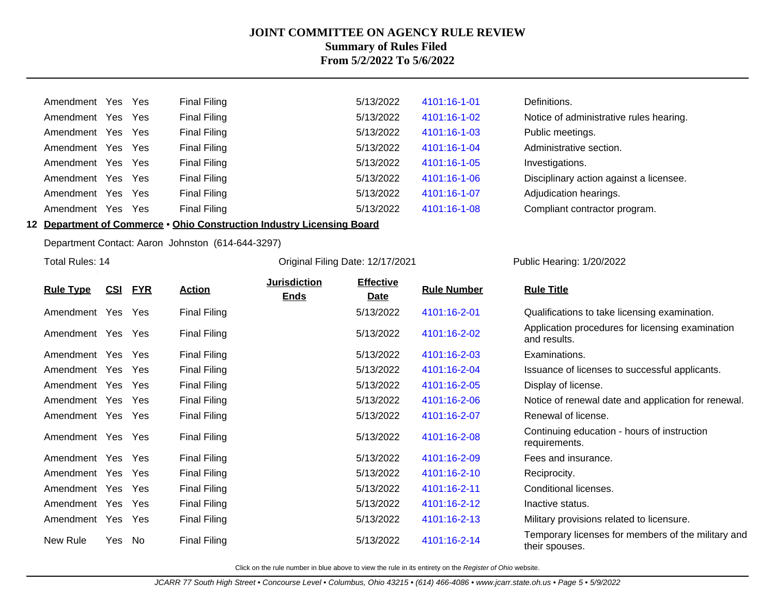| Amendment | Yes  | Yes        | Final Filing        | 5/13/2022 | 4101:16-1-01 | Definitions.                            |
|-----------|------|------------|---------------------|-----------|--------------|-----------------------------------------|
| Amendment | Yes  | Yes        | Final Filing        | 5/13/2022 | 4101:16-1-02 | Notice of administrative rules hearing. |
| Amendment | Yes  | Yes        | Final Filing        | 5/13/2022 | 4101:16-1-03 | Public meetings.                        |
| Amendment | Yes  | <b>Yes</b> | <b>Final Filing</b> | 5/13/2022 | 4101:16-1-04 | Administrative section.                 |
| Amendment | Yes  | Yes        | Final Filing        | 5/13/2022 | 4101:16-1-05 | Investigations.                         |
| Amendment | Yes  | Yes        | Final Filing        | 5/13/2022 | 4101:16-1-06 | Disciplinary action against a licensee. |
| Amendment | Yes  | Yes        | Final Filing        | 5/13/2022 | 4101:16-1-07 | Adjudication hearings.                  |
| Amendment | Yes. | Yes        | <b>Final Filing</b> | 5/13/2022 | 4101:16-1-08 | Compliant contractor program.           |

**12 Department of Commerce** • **Ohio Construction Industry Licensing Board**

Department Contact: Aaron Johnston (614-644-3297)

Total Rules: 14

#### Original Filing Date: 12/17/2021 Public Hearing: 1/20/2022

|                   |     |            |                     | <b>Jurisdiction</b> | <b>Effective</b> |                    |                                                                      |
|-------------------|-----|------------|---------------------|---------------------|------------------|--------------------|----------------------------------------------------------------------|
| <b>Rule Type</b>  | CSI | <b>FYR</b> | <b>Action</b>       | <b>Ends</b>         | Date             | <b>Rule Number</b> | <b>Rule Title</b>                                                    |
| Amendment Yes Yes |     |            | <b>Final Filing</b> |                     | 5/13/2022        | 4101:16-2-01       | Qualifications to take licensing examination.                        |
| Amendment Yes Yes |     |            | <b>Final Filing</b> |                     | 5/13/2022        | 4101:16-2-02       | Application procedures for licensing examination<br>and results.     |
| Amendment Yes Yes |     |            | <b>Final Filing</b> |                     | 5/13/2022        | 4101:16-2-03       | Examinations.                                                        |
| Amendment Yes Yes |     |            | <b>Final Filing</b> |                     | 5/13/2022        | 4101:16-2-04       | Issuance of licenses to successful applicants.                       |
| Amendment Yes Yes |     |            | <b>Final Filing</b> |                     | 5/13/2022        | 4101:16-2-05       | Display of license.                                                  |
| Amendment Yes     |     | Yes        | <b>Final Filing</b> |                     | 5/13/2022        | 4101:16-2-06       | Notice of renewal date and application for renewal.                  |
| Amendment Yes Yes |     |            | <b>Final Filing</b> |                     | 5/13/2022        | 4101:16-2-07       | Renewal of license.                                                  |
| Amendment Yes Yes |     |            | <b>Final Filing</b> |                     | 5/13/2022        | 4101:16-2-08       | Continuing education - hours of instruction<br>requirements.         |
| Amendment Yes Yes |     |            | <b>Final Filing</b> |                     | 5/13/2022        | 4101:16-2-09       | Fees and insurance.                                                  |
| Amendment Yes Yes |     |            | <b>Final Filing</b> |                     | 5/13/2022        | 4101:16-2-10       | Reciprocity.                                                         |
| Amendment Yes Yes |     |            | <b>Final Filing</b> |                     | 5/13/2022        | 4101:16-2-11       | Conditional licenses.                                                |
| Amendment Yes Yes |     |            | <b>Final Filing</b> |                     | 5/13/2022        | 4101:16-2-12       | Inactive status.                                                     |
| Amendment Yes Yes |     |            | <b>Final Filing</b> |                     | 5/13/2022        | 4101:16-2-13       | Military provisions related to licensure.                            |
| New Rule          | Yes | No         | <b>Final Filing</b> |                     | 5/13/2022        | 4101:16-2-14       | Temporary licenses for members of the military and<br>their spouses. |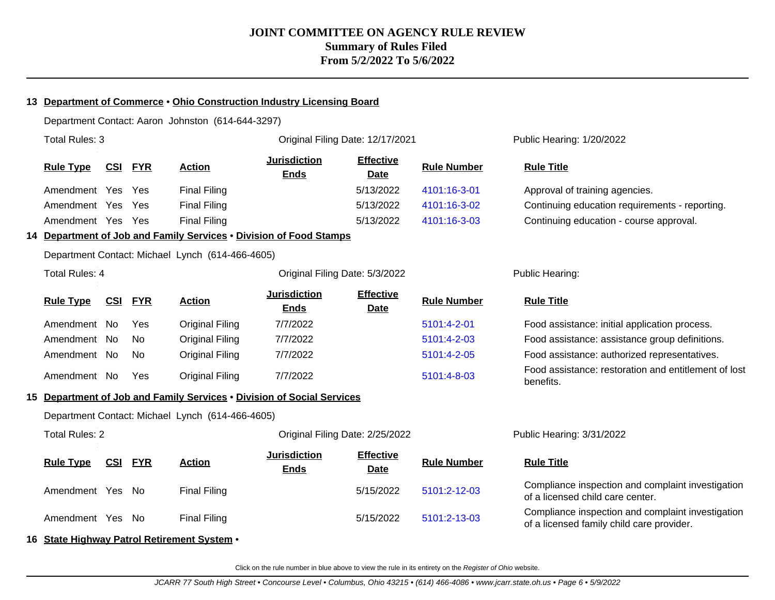#### **13 Department of Commerce** • **Ohio Construction Industry Licensing Board**

Department Contact: Aaron Johnston (614-644-3297)

| Total Rules: 3        |            |            |                                                                        |                                    | Original Filing Date: 12/17/2021 |                    | Public Hearing: 1/20/2022                                                                      |
|-----------------------|------------|------------|------------------------------------------------------------------------|------------------------------------|----------------------------------|--------------------|------------------------------------------------------------------------------------------------|
| <b>Rule Type</b>      | <b>CSI</b> | <b>FYR</b> | <b>Action</b>                                                          | <b>Jurisdiction</b><br><b>Ends</b> | <b>Effective</b><br><b>Date</b>  | <b>Rule Number</b> | <b>Rule Title</b>                                                                              |
| Amendment Yes         |            | Yes        | <b>Final Filing</b>                                                    |                                    | 5/13/2022                        | 4101:16-3-01       | Approval of training agencies.                                                                 |
| Amendment Yes         |            | Yes        | <b>Final Filing</b>                                                    |                                    | 5/13/2022                        | 4101:16-3-02       | Continuing education requirements - reporting.                                                 |
| Amendment Yes Yes     |            |            | <b>Final Filing</b>                                                    |                                    | 5/13/2022                        | 4101:16-3-03       | Continuing education - course approval.                                                        |
|                       |            |            | 14 Department of Job and Family Services . Division of Food Stamps     |                                    |                                  |                    |                                                                                                |
|                       |            |            | Department Contact: Michael Lynch (614-466-4605)                       |                                    |                                  |                    |                                                                                                |
| <b>Total Rules: 4</b> |            |            |                                                                        | Original Filing Date: 5/3/2022     |                                  |                    | Public Hearing:                                                                                |
| <b>Rule Type</b>      | <u>CSI</u> | <b>FYR</b> | <b>Action</b>                                                          | <b>Jurisdiction</b><br><b>Ends</b> | <b>Effective</b><br><b>Date</b>  | <b>Rule Number</b> | <b>Rule Title</b>                                                                              |
| Amendment No          |            | <b>Yes</b> | <b>Original Filing</b>                                                 | 7/7/2022                           |                                  | 5101:4-2-01        | Food assistance: initial application process.                                                  |
| Amendment No          |            | <b>No</b>  | <b>Original Filing</b>                                                 | 7/7/2022                           |                                  | 5101:4-2-03        | Food assistance: assistance group definitions.                                                 |
| Amendment No          |            | No         | <b>Original Filing</b>                                                 | 7/7/2022                           |                                  | 5101:4-2-05        | Food assistance: authorized representatives.                                                   |
| Amendment No          |            | Yes        | <b>Original Filing</b>                                                 | 7/7/2022                           |                                  | 5101:4-8-03        | Food assistance: restoration and entitlement of lost<br>benefits.                              |
|                       |            |            | 15 Department of Job and Family Services . Division of Social Services |                                    |                                  |                    |                                                                                                |
|                       |            |            | Department Contact: Michael Lynch (614-466-4605)                       |                                    |                                  |                    |                                                                                                |
| <b>Total Rules: 2</b> |            |            |                                                                        | Original Filing Date: 2/25/2022    |                                  |                    | Public Hearing: 3/31/2022                                                                      |
| <b>Rule Type</b>      | CSI        | <b>FYR</b> | <b>Action</b>                                                          | <b>Jurisdiction</b><br><b>Ends</b> | <b>Effective</b><br><b>Date</b>  | <b>Rule Number</b> | <b>Rule Title</b>                                                                              |
| Amendment Yes No      |            |            | <b>Final Filing</b>                                                    |                                    | 5/15/2022                        | 5101:2-12-03       | Compliance inspection and complaint investigation<br>of a licensed child care center.          |
| Amendment Yes No      |            |            | <b>Final Filing</b>                                                    |                                    | 5/15/2022                        | 5101:2-13-03       | Compliance inspection and complaint investigation<br>of a licensed family child care provider. |
|                       |            |            | 16 State Highway Patrol Retirement System .                            |                                    |                                  |                    |                                                                                                |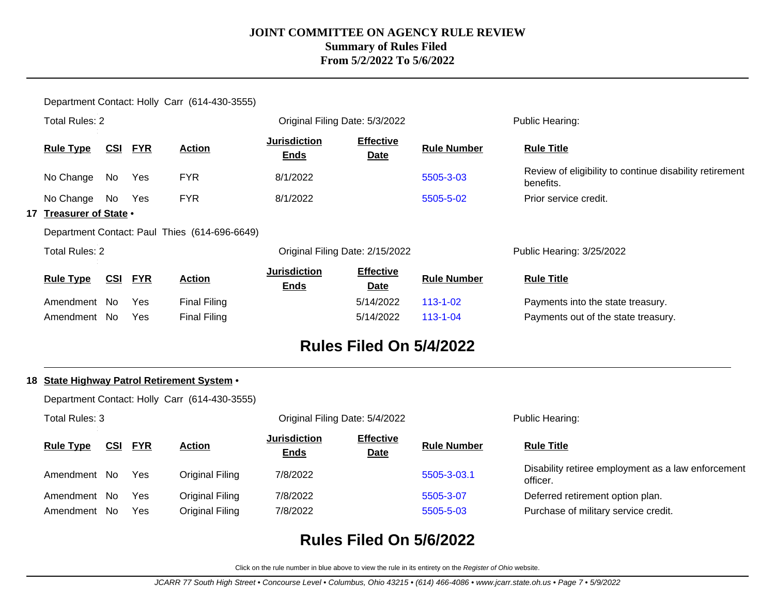Department Contact: Holly Carr (614-430-3555) Total Rules: 2 Original Filing Date: 5/3/2022 Public Hearing: **Rule Type CSI FYR Action Jurisdiction Ends Effective Date Rule Number Rule Title** No Change No Yes FYR 8/1/2022 8/1/2022 [5505-3-03](http://www.registerofohio.state.oh.us/jsps/publicdisplayrules/processPublicDisplayRules.jsp?entered_rule_no=5505-3-03&doWhat=GETBYRULENUM&raID=0) Review of eligibility to continue disability retirement benefits. No Change No Yes FYR 8/1/2022 [5505-5-02](http://www.registerofohio.state.oh.us/jsps/publicdisplayrules/processPublicDisplayRules.jsp?entered_rule_no=5505-5-02&doWhat=GETBYRULENUM&raID=0) Prior service credit. **17 Treasurer of State** • Department Contact: Paul Thies (614-696-6649) Total Rules: 2 Original Filing Date: 2/15/2022 Public Hearing: 3/25/2022 **Rule Type CSI FYR Action Jurisdiction Ends Effective Date Rule Number Rule Title** Amendment No Yes Final Filing The State of the State of the State treasury. Amendment No Yes Final Filing The State of the State treasury.

## **Rules Filed On 5/4/2022**

#### **18 State Highway Patrol Retirement System** •

Department Contact: Holly Carr (614-430-3555)

| Total Rules: 3   |            |            |                 |                                    | Original Filing Date: 5/4/2022  |                    | Public Hearing:                                                |
|------------------|------------|------------|-----------------|------------------------------------|---------------------------------|--------------------|----------------------------------------------------------------|
| <b>Rule Type</b> | <u>CSI</u> | <b>FYR</b> | <b>Action</b>   | <b>Jurisdiction</b><br><b>Ends</b> | <b>Effective</b><br><b>Date</b> | <b>Rule Number</b> | <b>Rule Title</b>                                              |
| Amendment No     |            | Yes        | Original Filing | 7/8/2022                           |                                 | 5505-3-03.1        | Disability retiree employment as a law enforcement<br>officer. |
| Amendment        | - No       | Yes        | Original Filing | 7/8/2022                           |                                 | 5505-3-07          | Deferred retirement option plan.                               |
| Amendment        | No.        | <b>Yes</b> | Original Filing | 7/8/2022                           |                                 | 5505-5-03          | Purchase of military service credit.                           |

# **Rules Filed On 5/6/2022**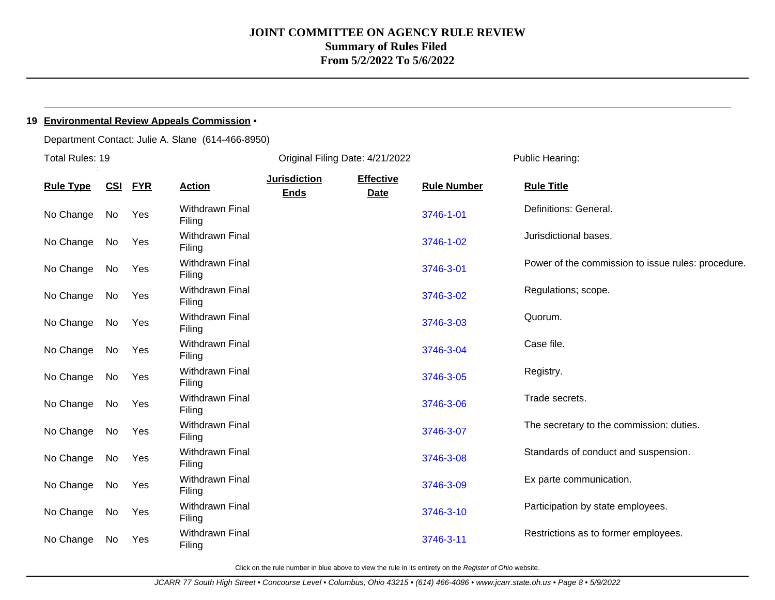#### **19 Environmental Review Appeals Commission** •

Department Contact: Julie A. Slane (614-466-8950)

| Total Rules: 19  |            |            |                                  | Original Filing Date: 4/21/2022    |                                 |                    | Public Hearing:                                    |
|------------------|------------|------------|----------------------------------|------------------------------------|---------------------------------|--------------------|----------------------------------------------------|
| <b>Rule Type</b> | <u>CSI</u> | <b>FYR</b> | <b>Action</b>                    | <b>Jurisdiction</b><br><b>Ends</b> | <b>Effective</b><br><b>Date</b> | <b>Rule Number</b> | <b>Rule Title</b>                                  |
| No Change        | No         | Yes        | Withdrawn Final<br>Filing        |                                    |                                 | 3746-1-01          | Definitions: General.                              |
| No Change        | No         | Yes        | Withdrawn Final<br>Filing        |                                    |                                 | 3746-1-02          | Jurisdictional bases.                              |
| No Change        | No         | Yes        | Withdrawn Final<br>Filing        |                                    |                                 | 3746-3-01          | Power of the commission to issue rules: procedure. |
| No Change        | No         | Yes        | Withdrawn Final<br>Filing        |                                    |                                 | 3746-3-02          | Regulations; scope.                                |
| No Change        | No         | Yes        | Withdrawn Final<br>Filing        |                                    |                                 | 3746-3-03          | Quorum.                                            |
| No Change        | No         | Yes        | <b>Withdrawn Final</b><br>Filing |                                    |                                 | 3746-3-04          | Case file.                                         |
| No Change        | No         | Yes        | Withdrawn Final<br>Filing        |                                    |                                 | 3746-3-05          | Registry.                                          |
| No Change        | No         | Yes        | Withdrawn Final<br>Filing        |                                    |                                 | 3746-3-06          | Trade secrets.                                     |
| No Change        | No         | Yes        | Withdrawn Final<br>Filing        |                                    |                                 | 3746-3-07          | The secretary to the commission: duties.           |
| No Change        | No         | Yes        | <b>Withdrawn Final</b><br>Filing |                                    |                                 | 3746-3-08          | Standards of conduct and suspension.               |
| No Change        | No         | Yes        | Withdrawn Final<br>Filing        |                                    |                                 | 3746-3-09          | Ex parte communication.                            |
| No Change        | No         | Yes        | <b>Withdrawn Final</b><br>Filing |                                    |                                 | 3746-3-10          | Participation by state employees.                  |
| No Change        | No.        | Yes        | <b>Withdrawn Final</b><br>Filing |                                    |                                 | 3746-3-11          | Restrictions as to former employees.               |
|                  |            |            |                                  |                                    |                                 |                    |                                                    |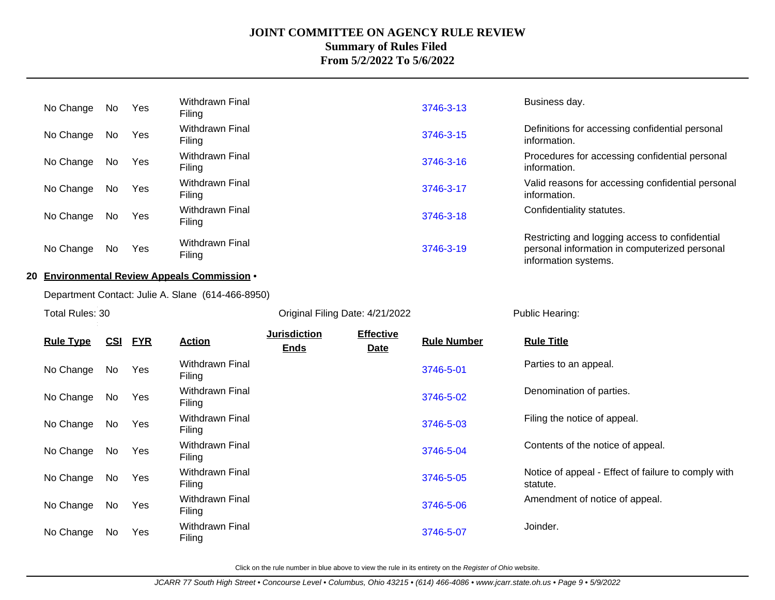| No Change        | No  | Yes        | Withdrawn Final<br>Filing                         |                     |                                 | 3746-3-13          | Business day.                                                                                                           |
|------------------|-----|------------|---------------------------------------------------|---------------------|---------------------------------|--------------------|-------------------------------------------------------------------------------------------------------------------------|
| No Change        | No  | Yes        | <b>Withdrawn Final</b><br>Filing                  |                     |                                 | 3746-3-15          | Definitions for accessing confidential personal<br>information.                                                         |
| No Change        | No  | Yes        | Withdrawn Final<br>Filing                         |                     |                                 | 3746-3-16          | Procedures for accessing confidential personal<br>information.                                                          |
| No Change        | No  | Yes        | Withdrawn Final<br>Filing                         |                     |                                 | 3746-3-17          | Valid reasons for accessing confidential personal<br>information.                                                       |
| No Change        | No  | Yes        | <b>Withdrawn Final</b><br>Filing                  |                     |                                 | 3746-3-18          | Confidentiality statutes.                                                                                               |
| No Change        | No  | Yes        | <b>Withdrawn Final</b><br>Filing                  |                     |                                 | 3746-3-19          | Restricting and logging access to confidential<br>personal information in computerized personal<br>information systems. |
|                  |     |            | 20 Environmental Review Appeals Commission .      |                     |                                 |                    |                                                                                                                         |
|                  |     |            | Department Contact: Julie A. Slane (614-466-8950) |                     |                                 |                    |                                                                                                                         |
| Total Rules: 30  |     |            |                                                   |                     | Original Filing Date: 4/21/2022 |                    | Public Hearing:                                                                                                         |
|                  |     |            |                                                   | <b>Jurisdiction</b> | <b>Effective</b>                |                    |                                                                                                                         |
| <b>Rule Type</b> | CSI | <b>FYR</b> | <b>Action</b>                                     | <b>Ends</b>         | Date                            | <b>Rule Number</b> | <b>Rule Title</b>                                                                                                       |
| No Change        | No  | Yes        | Withdrawn Final<br>Filing                         |                     |                                 | 3746-5-01          | Parties to an appeal.                                                                                                   |
| No Change        |     |            |                                                   |                     |                                 |                    |                                                                                                                         |
|                  | No  | Yes        | <b>Withdrawn Final</b><br>Filing                  |                     |                                 | 3746-5-02          | Denomination of parties.                                                                                                |
| No Change        | No  | Yes        | Withdrawn Final<br>Filing                         |                     |                                 | 3746-5-03          | Filing the notice of appeal.                                                                                            |
| No Change        | No  | Yes        | Withdrawn Final<br>Filing                         |                     |                                 | 3746-5-04          | Contents of the notice of appeal.                                                                                       |
| No Change        | No  | Yes        | <b>Withdrawn Final</b><br>Filing                  |                     |                                 | 3746-5-05          | Notice of appeal - Effect of failure to comply with<br>statute.                                                         |
| No Change        | No  | Yes        | <b>Withdrawn Final</b><br>Filing                  |                     |                                 | 3746-5-06          | Amendment of notice of appeal.                                                                                          |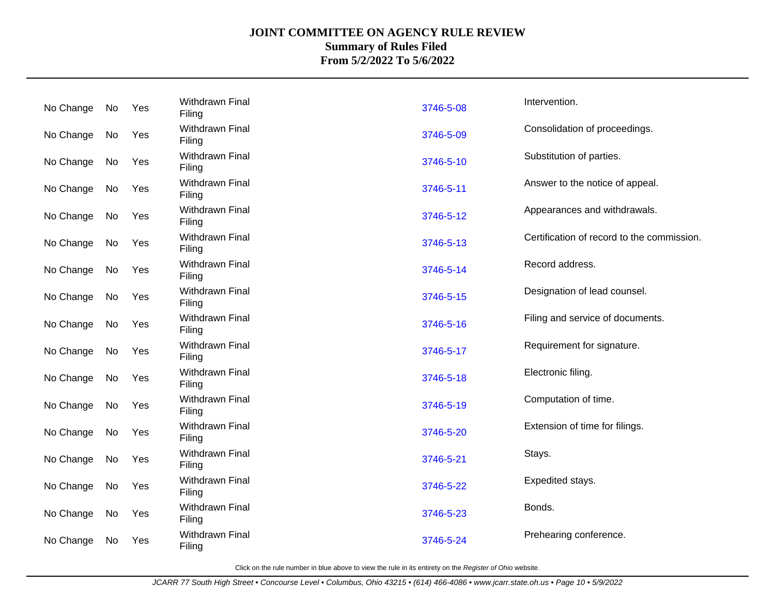| No Change | No | Yes | <b>Withdrawn Final</b><br>Filing | 3746-5-08 | Intervention.                              |
|-----------|----|-----|----------------------------------|-----------|--------------------------------------------|
| No Change | No | Yes | <b>Withdrawn Final</b><br>Filing | 3746-5-09 | Consolidation of proceedings.              |
| No Change | No | Yes | Withdrawn Final<br>Filing        | 3746-5-10 | Substitution of parties.                   |
| No Change | No | Yes | <b>Withdrawn Final</b><br>Filing | 3746-5-11 | Answer to the notice of appeal.            |
| No Change | No | Yes | <b>Withdrawn Final</b><br>Filing | 3746-5-12 | Appearances and withdrawals.               |
| No Change | No | Yes | <b>Withdrawn Final</b><br>Filing | 3746-5-13 | Certification of record to the commission. |
| No Change | No | Yes | Withdrawn Final<br>Filing        | 3746-5-14 | Record address.                            |
| No Change | No | Yes | <b>Withdrawn Final</b><br>Filing | 3746-5-15 | Designation of lead counsel.               |
| No Change | No | Yes | <b>Withdrawn Final</b><br>Filing | 3746-5-16 | Filing and service of documents.           |
| No Change | No | Yes | <b>Withdrawn Final</b><br>Filing | 3746-5-17 | Requirement for signature.                 |
| No Change | No | Yes | <b>Withdrawn Final</b><br>Filing | 3746-5-18 | Electronic filing.                         |
| No Change | No | Yes | Withdrawn Final<br>Filing        | 3746-5-19 | Computation of time.                       |
| No Change | No | Yes | Withdrawn Final<br>Filing        | 3746-5-20 | Extension of time for filings.             |
| No Change | No | Yes | Withdrawn Final<br>Filing        | 3746-5-21 | Stays.                                     |
| No Change | No | Yes | <b>Withdrawn Final</b><br>Filing | 3746-5-22 | Expedited stays.                           |
| No Change | No | Yes | <b>Withdrawn Final</b><br>Filing | 3746-5-23 | Bonds.                                     |
| No Change | No | Yes | Withdrawn Final<br>Filing        | 3746-5-24 | Prehearing conference.                     |
|           |    |     |                                  |           |                                            |